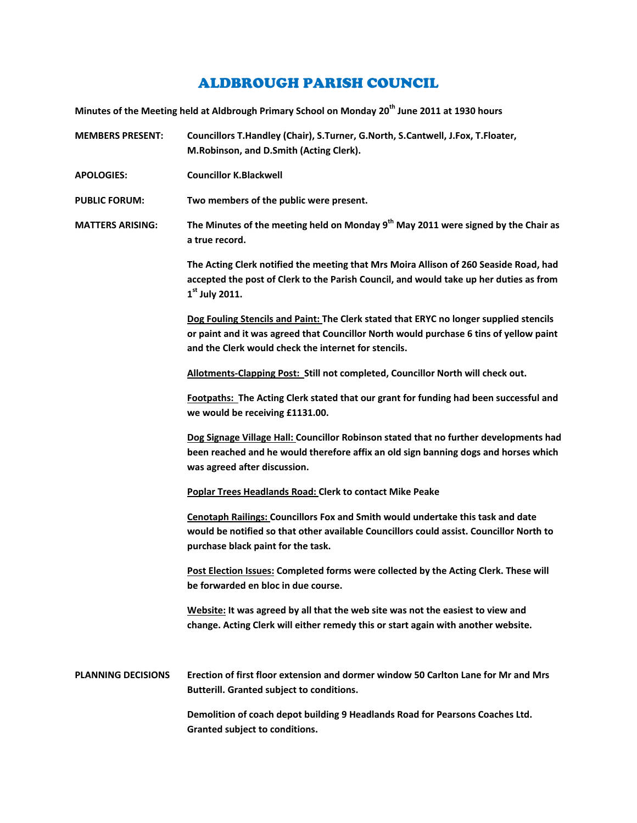## ALDBROUGH PARISH COUNCIL

**Minutes of the Meeting held at Aldbrough Primary School on Monday 20th June 2011 at 1930 hours**

**MEMBERS PRESENT: Councillors T.Handley (Chair), S.Turner, G.North, S.Cantwell, J.Fox, T.Floater, M.Robinson, and D.Smith (Acting Clerk).**

**APOLOGIES: Councillor K.Blackwell**

**PUBLIC FORUM: Two members of the public were present.**

**MATTERS ARISING: The Minutes of the meeting held on Monday 9th May 2011 were signed by the Chair as a true record.**

> **The Acting Clerk notified the meeting that Mrs Moira Allison of 260 Seaside Road, had accepted the post of Clerk to the Parish Council, and would take up her duties as from 1st July 2011.**

> **Dog Fouling Stencils and Paint: The Clerk stated that ERYC no longer supplied stencils or paint and it was agreed that Councillor North would purchase 6 tins of yellow paint and the Clerk would check the internet for stencils.**

**Allotments-Clapping Post: Still not completed, Councillor North will check out.**

**Footpaths: The Acting Clerk stated that our grant for funding had been successful and we would be receiving £1131.00.**

**Dog Signage Village Hall: Councillor Robinson stated that no further developments had been reached and he would therefore affix an old sign banning dogs and horses which was agreed after discussion.**

**Poplar Trees Headlands Road: Clerk to contact Mike Peake**

**Cenotaph Railings: Councillors Fox and Smith would undertake this task and date would be notified so that other available Councillors could assist. Councillor North to purchase black paint for the task.**

**Post Election Issues: Completed forms were collected by the Acting Clerk. These will be forwarded en bloc in due course.**

**Website: It was agreed by all that the web site was not the easiest to view and change. Acting Clerk will either remedy this or start again with another website.**

**PLANNING DECISIONS Erection of first floor extension and dormer window 50 Carlton Lane for Mr and Mrs Butterill. Granted subject to conditions.**

> **Demolition of coach depot building 9 Headlands Road for Pearsons Coaches Ltd. Granted subject to conditions.**